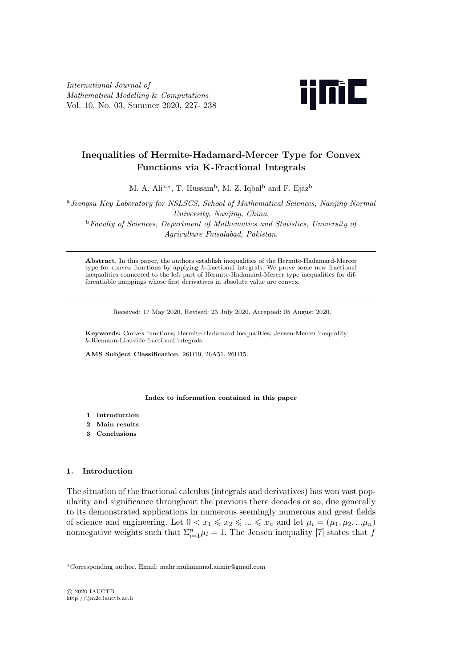*International Journal of Mathematical Modelling* & *Computations* Vol. 10, No. 03, Summer 2020, 227- 238



# **Inequalities of Hermite-Hadamard-Mercer Type for Convex Functions via K-Fractional Integrals**

M. A. Ali<sup>a,\*</sup>, T. Hussain<sup>b</sup>, M. Z. Iqbal<sup>b</sup> and F. Ejaz<sup>b</sup>

<sup>a</sup>*Jiangsu Key Laboratory for NSLSCS, School of Mathematical Sciences, Nanjing Normal University, Nanjing, China*, <sup>b</sup>*Faculty of Sciences, Department of Mathematics and Statistics, University of Agriculture Faisalabad, Pakistan*.

**Abstract.** In this paper, the authors establish inequalities of the Hermite-Hadamard-Mercer type for convex functions by applying *k*-fractional integrals. We prove some new fractional inequalities connected to the left part of Hermite-Hadamard-Mercer type inequalities for differentiable mappings whose first derivatives in absolute value are convex.

Received: 17 May 2020, Revised: 23 July 2020, Accepted: 05 August 2020.

**Keywords:** Convex functions; Hermite-Hadamard inequalities; Jensen-Mercer inequality; *k*-Riemann-Liouville fractional integrals.

**AMS Subject Classification**: 26D10, 26A51, 26D15.

#### **Index to information contained in this paper**

- **1 Introduction**
- **2 Main results**
- **3 Conclusions**

### **1. Introduction**

The situation of the fractional calculus (integrals and derivatives) has won vast popularity and significance throughout the previous there decades or so, due generally to its demonstrated applications in numerous seemingly numerous and great fields of science and engineering. Let  $0 < x_1 \leq x_2 \leq \ldots \leq x_n$  and let  $\mu_i = (\mu_1, \mu_2, \ldots, \mu_n)$ nonnegative weights such that  $\sum_{i=1}^{n} \mu_i = 1$ . The Jensen inequality [7] states that *f* 

*<sup>∗</sup>*Corresponding author. Email: mahr.muhammad.aamir@gmail.com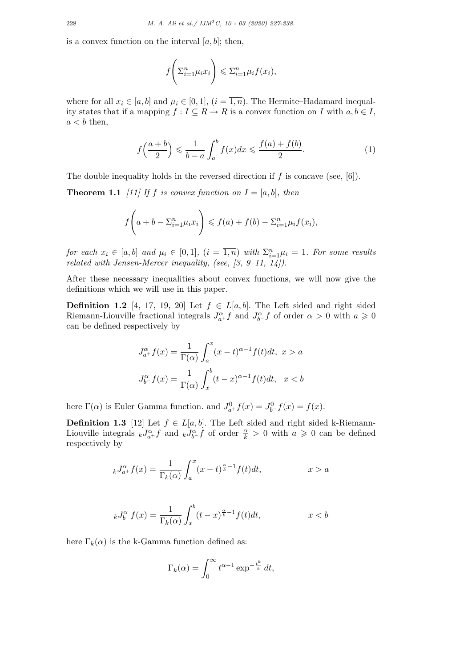is a convex function on the interval  $[a, b]$ ; then,

$$
f\left(\sum_{i=1}^n \mu_i x_i\right) \leqslant \sum_{i=1}^n \mu_i f(x_i),
$$

where for all  $x_i \in [a, b]$  and  $\mu_i \in [0, 1]$ ,  $(i = \overline{1, n})$ . The Hermite–Hadamard inequality states that if a mapping  $f : I \subseteq R \to R$  is a convex function on *I* with  $a, b \in I$ ,  $a < b$  then,

$$
f\left(\frac{a+b}{2}\right) \leqslant \frac{1}{b-a} \int_{a}^{b} f(x)dx \leqslant \frac{f(a)+f(b)}{2}.\tag{1}
$$

The double inequality holds in the reversed direction if *f* is concave (see, [6]).

**Theorem 1.1** [11] If *f* is convex function on  $I = [a, b]$ *, then* 

$$
f\left(a+b-\Sigma_{i=1}^n\mu_ix_i\right) \leqslant f(a)+f(b)-\Sigma_{i=1}^n\mu_if(x_i),
$$

*for each*  $x_i \in [a, b]$  *and*  $\mu_i \in [0, 1]$ *,*  $(i = \overline{1, n})$  *with*  $\Sigma_{i=1}^n \mu_i = 1$ *. For some results related with Jensen-Mercer inequality, (see, [3, 9–11, 14]).*

After these necessary inequalities about convex functions, we will now give the definitions which we will use in this paper.

**Definition 1.2** [4, 17, 19, 20] Let  $f \in L[a, b]$ . The Left sided and right sided Riemann-Liouville fractional integrals  $J_{a^+}^{\alpha}f$  and  $J_{b^-}^{\alpha}f$  of order  $\alpha > 0$  with  $a \geq 0$ can be defined respectively by

$$
J_{a^{+}}^{\alpha}f(x) = \frac{1}{\Gamma(\alpha)} \int_{a}^{x} (x - t)^{\alpha - 1} f(t)dt, \ x > a
$$

$$
J_{b^{-}}^{\alpha}f(x) = \frac{1}{\Gamma(\alpha)} \int_{x}^{b} (t - x)^{\alpha - 1} f(t)dt, \ x < b
$$

here  $\Gamma(\alpha)$  is Euler Gamma function. and  $J_{a^+}^0 f(x) = J_{b^-}^0 f(x) = f(x)$ .

**Definition 1.3** [12] Let  $f \in L[a, b]$ . The Left sided and right sided k-Riemann-Liouville integrals  $kJ_{a+}^{\alpha}f$  and  $kJ_{b-}^{\alpha}f$  of order  $\frac{\alpha}{k} > 0$  with  $a \geq 0$  can be defined respectively by

$$
_{k}J_{a^{+}}^{\alpha}f(x) = \frac{1}{\Gamma_{k}(\alpha)} \int_{a}^{x} (x-t)^{\frac{\alpha}{k}-1} f(t)dt, \qquad x > a
$$

$$
_{k}J_{b^{-}}^{\alpha}f(x) = \frac{1}{\Gamma_{k}(\alpha)} \int_{x}^{b} (t-x)^{\frac{\alpha}{k}-1} f(t)dt, \qquad x < b
$$

here  $\Gamma_k(\alpha)$  is the k-Gamma function defined as:

$$
\Gamma_k(\alpha) = \int_0^\infty t^{\alpha - 1} \exp^{-\frac{t^k}{k}} dt,
$$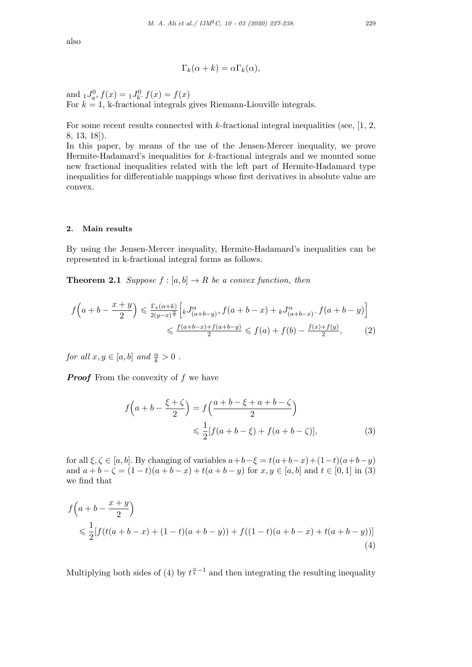also

$$
\Gamma_k(\alpha + k) = \alpha \Gamma_k(\alpha),
$$

and  ${}_{1}J_{a+}^{0}f(x) = {}_{1}J_{b-}^{0}f(x) = f(x)$ For  $k = 1$ , k-fractional integrals gives Riemann-Liouville integrals.

For some recent results connected with *k*-fractional integral inequalities (see, [1, 2, 8, 13, 18]).

In this paper, by means of the use of the Jensen-Mercer inequality, we prove Hermite-Hadamard's inequalities for *k*-fractional integrals and we mounted some new fractional inequalities related with the left part of Hermite-Hadamard type inequalities for differentiable mappings whose first derivatives in absolute value are convex.

#### **2. Main results**

By using the Jensen-Mercer inequality, Hermite-Hadamard's inequalities can be represented in k-fractional integral forms as follows.

**Theorem 2.1** *Suppose*  $f : [a, b] \to R$  *be a convex function, then* 

$$
f\left(a+b-\frac{x+y}{2}\right) \leq \frac{\Gamma_k(\alpha+k)}{2(y-x)^{\frac{\alpha}{k}}} \left[ {}_{k}J^{\alpha}_{(a+b-y)+}f(a+b-x) + {}_{k}J^{\alpha}_{(a+b-x)-}f(a+b-y) \right]
$$
  

$$
\leq \frac{f(a+b-x)+f(a+b-y)}{2} \leq f(a) + f(b) - \frac{f(x)+f(y)}{2}, \tag{2}
$$

*for all*  $x, y \in [a, b]$  *and*  $\frac{\alpha}{k} > 0$ .

*Proof* From the convexity of *f* we have

$$
f\left(a+b-\frac{\xi+\zeta}{2}\right) = f\left(\frac{a+b-\xi+a+b-\zeta}{2}\right)
$$

$$
\leq \frac{1}{2}[f(a+b-\xi)+f(a+b-\zeta)], \tag{3}
$$

for all  $\xi, \zeta \in [a, b]$ . By changing of variables  $a+b-\xi = t(a+b-x)+(1-t)(a+b-y)$ and  $a+b-\zeta = (1-t)(a+b-x) + t(a+b-y)$  for  $x, y \in [a, b]$  and  $t \in [0, 1]$  in (3) we find that

$$
f\left(a+b-\frac{x+y}{2}\right)
$$
  
\$\leq \frac{1}{2}[f(t(a+b-x)+(1-t)(a+b-y))+f((1-t)(a+b-x)+t(a+b-y))](4)

Multiplying both sides of (4) by  $t^{\frac{\alpha}{k}-1}$  and then integrating the resulting inequality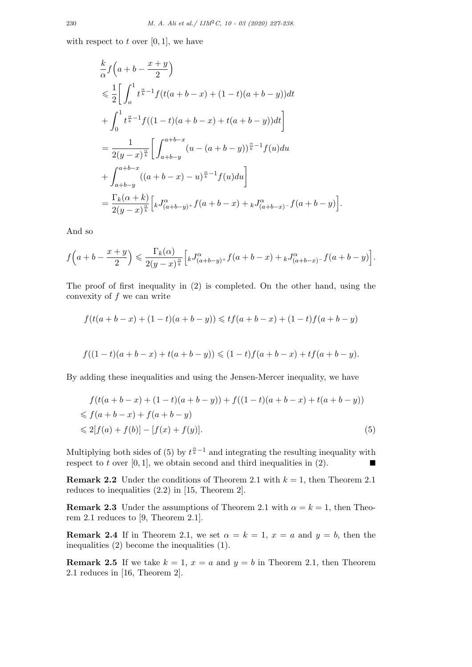with respect to  $t$  over  $[0, 1]$ , we have

$$
\frac{k}{\alpha} f\left(a+b-\frac{x+y}{2}\right) \n\leq \frac{1}{2} \bigg[ \int_{0}^{1} t^{\frac{\alpha}{k}-1} f(t(a+b-x)+(1-t)(a+b-y))dt \n+ \int_{0}^{1} t^{\frac{\alpha}{k}-1} f((1-t)(a+b-x)+t(a+b-y))dt \bigg] \n= \frac{1}{2(y-x)^{\frac{\alpha}{k}}} \bigg[ \int_{a+b-y}^{a+b-x} (u-(a+b-y))^{\frac{\alpha}{k}-1} f(u)du \n+ \int_{a+b-y}^{a+b-x} ((a+b-x)-u)^{\frac{\alpha}{k}-1} f(u)du \bigg] \n= \frac{\Gamma_{k}(\alpha+k)}{2(y-x)^{\frac{\alpha}{k}}} \bigg[ {}_{k}J_{(a+b-y)+}^{\alpha} f(a+b-x) + {}_{k}J_{(a+b-x)-}^{\alpha} f(a+b-y)
$$

And so

$$
f\left(a+b-\frac{x+y}{2}\right) \leqslant \frac{\Gamma_k(\alpha)}{2(y-x)^{\frac{\alpha}{k}}}\Big[ {}_{k}J^{\alpha}_{(a+b-y)^+}f(a+b-x)+{}_{k}J^{\alpha}_{(a+b-x)^-}f(a+b-y)\Big].
$$

] *.*

The proof of first inequality in (2) is completed. On the other hand, using the convexity of *f* we can write

$$
f(t(a+b-x)+(1-t)(a+b-y)) \leq tf(a+b-x)+(1-t)f(a+b-y)
$$

$$
f((1-t)(a+b-x)+t(a+b-y)) \leq (1-t)f(a+b-x)+tf(a+b-y).
$$

By adding these inequalities and using the Jensen-Mercer inequality, we have

$$
f(t(a+b-x)+(1-t)(a+b-y)) + f((1-t)(a+b-x)+t(a+b-y))
$$
  
\$\leq f(a+b-x)+f(a+b-y)\$  
\$\leq 2[f(a)+f(b)] - [f(x)+f(y)].\tag{5}

Multiplying both sides of (5) by  $t^{\frac{\alpha}{k}-1}$  and integrating the resulting inequality with respect to *t* over [0, 1], we obtain second and third inequalities in (2).

**Remark 2.2** Under the conditions of Theorem 2.1 with  $k = 1$ , then Theorem 2.1 reduces to inequalities (2*.*2) in [15, Theorem 2].

**Remark 2.3** Under the assumptions of Theorem 2.1 with  $\alpha = k = 1$ , then Theorem 2.1 reduces to [9, Theorem 2.1].

**Remark 2.4** If in Theorem 2.1, we set  $\alpha = k = 1$ ,  $x = a$  and  $y = b$ , then the inequalities (2) become the inequalities (1).

**Remark 2.5** If we take  $k = 1$ ,  $x = a$  and  $y = b$  in Theorem 2.1, then Theorem 2.1 reduces in [16, Theorem 2].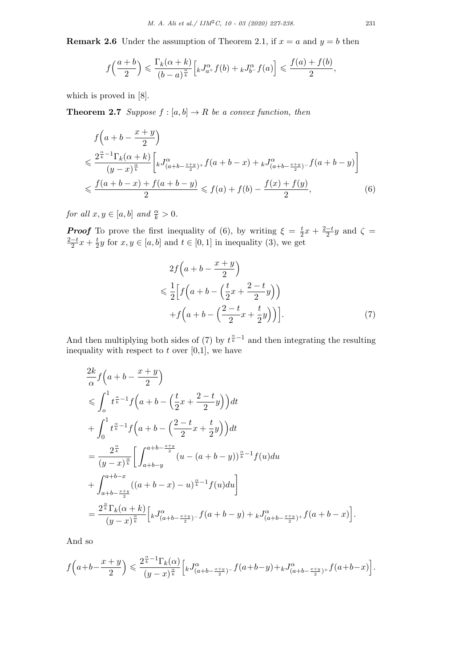**Remark 2.6** Under the assumption of Theorem 2.1, if  $x = a$  and  $y = b$  then

$$
f\left(\frac{a+b}{2}\right) \leqslant \frac{\Gamma_k(\alpha+k)}{(b-a)^{\frac{\alpha}{k}}}\Big[kJ_{a^+}^{\alpha}f(b)+_kJ_{b^-}^{\alpha}f(a)\Big] \leqslant \frac{f(a)+f(b)}{2},
$$

which is proved in [8].

**Theorem 2.7** *Suppose*  $f : [a, b] \rightarrow R$  *be a convex function, then* 

$$
f\left(a+b-\frac{x+y}{2}\right)
$$
  
\n
$$
\leq \frac{2^{\frac{\alpha}{k}-1}\Gamma_k(\alpha+k)}{(y-x)^{\frac{\alpha}{k}}}\left[kJ^{\alpha}_{(a+b-\frac{x+y}{2})^+}f(a+b-x)+kJ^{\alpha}_{(a+b-\frac{x+y}{2})^-}f(a+b-y)\right]
$$
  
\n
$$
\leq \frac{f(a+b-x)+f(a+b-y)}{2} \leq f(a)+f(b)-\frac{f(x)+f(y)}{2},
$$
\n(6)

*for all*  $x, y \in [a, b]$  *and*  $\frac{\alpha}{k} > 0$ .

*Proof* To prove the first inequality of (6), by writing  $\xi = \frac{t}{2}$  $\frac{t}{2}x + \frac{2-t}{2}y$  and  $\zeta =$  $\frac{2-t}{2}x + \frac{t}{2}$  $\frac{t}{2}y$  for  $x, y \in [a, b]$  and  $t \in [0, 1]$  in inequality (3), we get

$$
2f\left(a+b-\frac{x+y}{2}\right)
$$
  
\n
$$
\leq \frac{1}{2}\left[f\left(a+b-\left(\frac{t}{2}x+\frac{2-t}{2}y\right)\right)\right]
$$
  
\n
$$
+f\left(a+b-\left(\frac{2-t}{2}x+\frac{t}{2}y\right)\right)\right].
$$
 (7)

And then multiplying both sides of (7) by  $t^{\frac{\alpha}{k}-1}$  and then integrating the resulting inequality with respect to  $t$  over  $[0,1]$ , we have

$$
\frac{2k}{\alpha} f\left(a+b-\frac{x+y}{2}\right) \n\leq \int_{0}^{1} t^{\frac{\alpha}{k}-1} f\left(a+b-\left(\frac{t}{2}x+\frac{2-t}{2}y\right)\right) dt \n+ \int_{0}^{1} t^{\frac{\alpha}{k}-1} f\left(a+b-\left(\frac{2-t}{2}x+\frac{t}{2}y\right)\right) dt \n= \frac{2^{\frac{\alpha}{k}}}{(y-x)^{\frac{\alpha}{k}}} \bigg[ \int_{a+b-y}^{a+b-\frac{x+y}{2}} (u-(a+b-y))^{\frac{\alpha}{k}-1} f(u) du \n+ \int_{a+b-\frac{x+y}{2}}^{a+b-x} ((a+b-x)-u)^{\frac{\alpha}{k}-1} f(u) du \bigg] \n= \frac{2^{\frac{\alpha}{k}} \Gamma_{k}(\alpha+k)}{(y-x)^{\frac{\alpha}{k}}} \bigg[ {}_{k}J_{(a+b-\frac{x+y}{2})}^{\alpha} - f(a+b-y) + {}_{k}J_{(a+b-\frac{x+y}{2})+}^{\alpha} f(a+b-x) \bigg].
$$

And so

$$
f\Big(a+b-\frac{x+y}{2}\Big)\leqslant\frac{2^{\frac{\alpha}{k}-1}\Gamma_{k}(\alpha)}{(y-x)^{\frac{\alpha}{k}}}\Big[kJ^{\alpha}_{(a+b-\frac{x+y}{2})^{-}}f(a+b-y)+_kJ^{\alpha}_{(a+b-\frac{x+y}{2})^{+}}f(a+b-x)\Big].
$$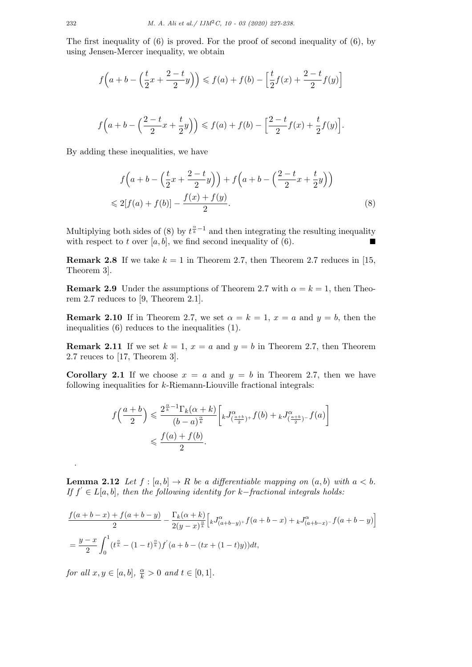The first inequality of (6) is proved. For the proof of second inequality of (6), by using Jensen-Mercer inequality, we obtain

$$
f\left(a+b-\left(\frac{t}{2}x+\frac{2-t}{2}y\right)\right) \leq f(a) + f(b) - \left[\frac{t}{2}f(x)+\frac{2-t}{2}f(y)\right]
$$
  

$$
f\left(a+b-\left(\frac{2-t}{2}x+\frac{t}{2}y\right)\right) \leq f(a) + f(b) - \left[\frac{2-t}{2}f(x)+\frac{t}{2}f(y)\right].
$$

By adding these inequalities, we have

$$
f\left(a+b-\left(\frac{t}{2}x+\frac{2-t}{2}y\right)\right)+f\left(a+b-\left(\frac{2-t}{2}x+\frac{t}{2}y\right)\right) \leq 2[f(a)+f(b)]-\frac{f(x)+f(y)}{2}.
$$
\n(8)

Multiplying both sides of (8) by  $t^{\frac{\alpha}{k}-1}$  and then integrating the resulting inequality with respect to *t* over [ $a, b$ ], we find second inequality of (6).

**Remark 2.8** If we take  $k = 1$  in Theorem 2.7, then Theorem 2.7 reduces in [15, Theorem 3].

**Remark 2.9** Under the assumptions of Theorem 2.7 with  $\alpha = k = 1$ , then Theorem 2.7 reduces to [9, Theorem 2.1].

**Remark 2.10** If in Theorem 2.7, we set  $\alpha = k = 1$ ,  $x = a$  and  $y = b$ , then the inequalities (6) reduces to the inequalities (1).

**Remark 2.11** If we set  $k = 1$ ,  $x = a$  and  $y = b$  in Theorem 2.7, then Theorem 2.7 reuces to [17, Theorem 3].

**Corollary 2.1** If we choose  $x = a$  and  $y = b$  in Theorem 2.7, then we have following inequalities for *k*-Riemann-Liouville fractional integrals:

$$
\begin{aligned} f\Big(\frac{a+b}{2}\Big) &\leqslant \frac{2^{\frac{\alpha}{k}-1}\Gamma_k(\alpha+k)}{(b-a)^{\frac{\alpha}{k}}}\bigg[ {}_{k}J^{\alpha}_{\left(\frac{a+b}{2}\right)^+}f(b)+{}_kJ^{\alpha}_{\left(\frac{a+b}{2}\right)^-}f(a)\bigg] \\ &\leqslant \frac{f(a)+f(b)}{2}. \end{aligned}
$$

**Lemma 2.12** *Let*  $f : [a, b] \to R$  *be a differentiable mapping on*  $(a, b)$  *with*  $a < b$ . *If f ′ ∈ L*[*a, b*]*, then the following identity for k−fractional integrals holds:*

$$
\frac{f(a+b-x)+f(a+b-y)}{2} - \frac{\Gamma_k(\alpha+k)}{2(y-x)^{\frac{\alpha}{k}}} \Big[ {}_{k}J^{\alpha}_{(a+b-y)+}f(a+b-x) + {}_{k}J^{\alpha}_{(a+b-x)-}f(a+b-y) \Big]
$$
  
=  $\frac{y-x}{2} \int_0^1 (t^{\frac{\alpha}{k}} - (1-t)^{\frac{\alpha}{k}}) f'(a+b-(tx+(1-t)y)) dt,$ 

*for all*  $x, y \in [a, b], \frac{\alpha}{k} > 0$  *and*  $t \in [0, 1].$ 

.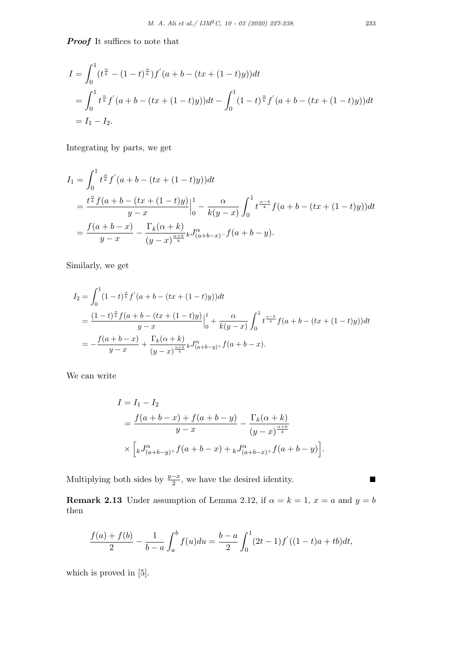*Proof* It suffices to note that

$$
I = \int_0^1 (t^{\frac{\alpha}{k}} - (1-t)^{\frac{\alpha}{k}}) f'(a+b - (tx + (1-t)y)) dt
$$
  
= 
$$
\int_0^1 t^{\frac{\alpha}{k}} f'(a+b - (tx + (1-t)y)) dt - \int_0^1 (1-t)^{\frac{\alpha}{k}} f'(a+b - (tx + (1-t)y)) dt
$$
  
=  $I_1 - I_2.$ 

Integrating by parts, we get

$$
I_1 = \int_0^1 t^{\frac{\alpha}{k}} f'(a+b-(tx+(1-t)y))dt
$$
  
= 
$$
\frac{t^{\frac{\alpha}{k}} f(a+b-(tx+(1-t)y))}{y-x} \Big|_0^1 - \frac{\alpha}{k(y-x)} \int_0^1 t^{\frac{\alpha-k}{k}} f(a+b-(tx+(1-t)y))dt
$$
  
= 
$$
\frac{f(a+b-x)}{y-x} - \frac{\Gamma_k(\alpha+k)}{(y-x)^{\frac{\alpha+k}{k}}} \Gamma_k^{\alpha-1}(a+b-y).
$$

Similarly, we get

$$
I_2 = \int_0^1 (1-t)^{\frac{\alpha}{k}} f'(a+b-(tx+(1-t)y))dt
$$
  
= 
$$
\frac{(1-t)^{\frac{\alpha}{k}} f(a+b-(tx+(1-t)y))}{y-x} \Big|_0^1 + \frac{\alpha}{k(y-x)} \int_0^1 t^{\frac{\alpha-k}{k}} f(a+b-(tx+(1-t)y))dt
$$
  
= 
$$
-\frac{f(a+b-x)}{y-x} + \frac{\Gamma_k(\alpha+k)}{(y-x)^{\frac{\alpha+k}{k}}} k J_{(a+b-y)+}^{\alpha} f(a+b-x).
$$

We can write

$$
I = I_1 - I_2
$$
  
=  $\frac{f(a+b-x) + f(a+b-y)}{y-x} - \frac{\Gamma_k(\alpha+k)}{(y-x)^{\frac{\alpha+k}{k}}}$   
 $\times \left[ {}_kJ^{\alpha}_{(a+b-y)+}f(a+b-x) + {}_kJ^{\alpha}_{(a+b-x)+}f(a+b-y) \right].$ 

Multiplying both sides by  $\frac{y-x}{2}$ , we have the desired identity.

**Remark 2.13** Under assumption of Lemma 2.12, if  $\alpha = k = 1$ ,  $x = a$  and  $y = b$ then

$$
\frac{f(a) + f(b)}{2} - \frac{1}{b-a} \int_a^b f(u) du = \frac{b-a}{2} \int_0^1 (2t - 1) f'((1-t)a + tb) dt,
$$

which is proved in  $[5]$ .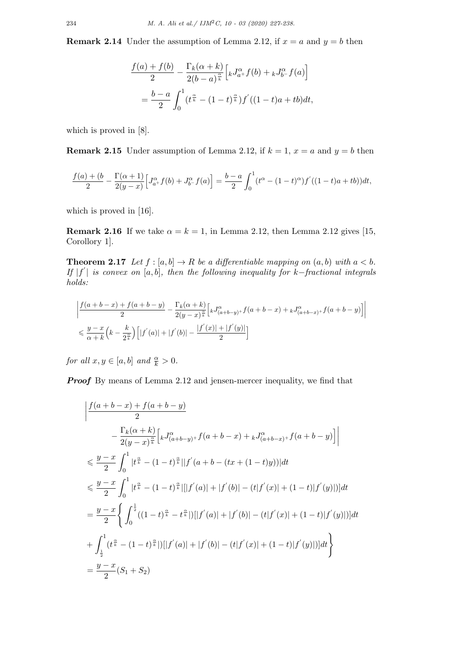**Remark 2.14** Under the assumption of Lemma 2.12, if  $x = a$  and  $y = b$  then

$$
\frac{f(a) + f(b)}{2} - \frac{\Gamma_k(\alpha + k)}{2(b - a)^{\frac{\alpha}{k}}} \Big[ {}_{k}J_{a^+}^{\alpha} f(b) + {}_{k}J_{b^-}^{\alpha} f(a) \Big]
$$

$$
= \frac{b - a}{2} \int_0^1 (t^{\frac{\alpha}{k}} - (1 - t)^{\frac{\alpha}{k}}) f'((1 - t)a + tb) dt,
$$

which is proved in [8].

**Remark 2.15** Under assumption of Lemma 2.12, if  $k = 1$ ,  $x = a$  and  $y = b$  then

$$
\frac{f(a)+(b)}{2} - \frac{\Gamma(\alpha+1)}{2(y-x)} \Big[ J_{a^+}^{\alpha} f(b) + J_{b^-}^{\alpha} f(a) \Big] = \frac{b-a}{2} \int_0^1 (t^{\alpha} - (1-t)^{\alpha}) f'((1-t)a + tb)) dt,
$$

which is proved in [16].

**Remark 2.16** If we take  $\alpha = k = 1$ , in Lemma 2.12, then Lemma 2.12 gives [15, Corollory 1].

**Theorem 2.17** *Let*  $f : [a, b] \to R$  *be a differentiable mapping on*  $(a, b)$  *with*  $a < b$ *. If |f ′ | is convex on* [*a, b*]*, then the following inequality for k−fractional integrals holds:*

$$
\begin{aligned}&\left|\frac{f(a+b-x)+f(a+b-y)}{2}-\frac{\Gamma_k(\alpha+k)}{2\left(y-x\right)^{\frac{\alpha}{k}}}\Big[kJ^{\alpha}_{(a+b-y)^+}f(a+b-x)+kJ^{\alpha}_{(a+b-x)^+}f(a+b-y)\Big]\right|\\&\leqslant \frac{y-x}{\alpha+k}\Big(k-\frac{k}{2^{\frac{\alpha}{k}}}\Big)\Big[|f^{'}(a)|+|f^{'}(b)|-\frac{|f^{'}(x)|+|f^{'}(y)|}{2}\Big] \end{aligned}
$$

*for all*  $x, y \in [a, b]$  *and*  $\frac{\alpha}{k} > 0$ *.* 

**Proof** By means of Lemma 2.12 and jensen-mercer inequality, we find that

$$
\left| \frac{f(a+b-x)+f(a+b-y)}{2} \right|
$$
  
\n
$$
-\frac{\Gamma_k(\alpha+k)}{2(y-x)^{\frac{\alpha}{k}}} \left[ {}_{k}J^{\alpha}_{(a+b-y)+}f(a+b-x) + {}_{k}J^{\alpha}_{(a+b-x)+}f(a+b-y) \right] \right|
$$
  
\n
$$
\leq \frac{y-x}{2} \int_0^1 |t^{\frac{\alpha}{k}} - (1-t)^{\frac{\alpha}{k}}||f'(a+b-(tx+(1-t)y))|dt
$$
  
\n
$$
\leq \frac{y-x}{2} \int_0^1 |t^{\frac{\alpha}{k}} - (1-t)^{\frac{\alpha}{k}}||[f'(a)|+|f'(b)|-(t|f'(x)|+(1-t)|f'(y)|)]dt
$$
  
\n
$$
=\frac{y-x}{2} \left\{ \int_0^{\frac{1}{2}} ((1-t)^{\frac{\alpha}{k}} - t^{\frac{\alpha}{k}}||[f'(a)|+|f'(b)|-(t|f'(x)|+(1-t)|f'(y)|)]dt \right\}
$$
  
\n
$$
+\int_{\frac{1}{2}}^1 (t^{\frac{\alpha}{k}} - (1-t)^{\frac{\alpha}{k}}||[f'(a)|+|f'(b)|-(t|f'(x)|+(1-t)|f'(y)|)]dt \right\}
$$
  
\n
$$
=\frac{y-x}{2}(S_1+S_2)
$$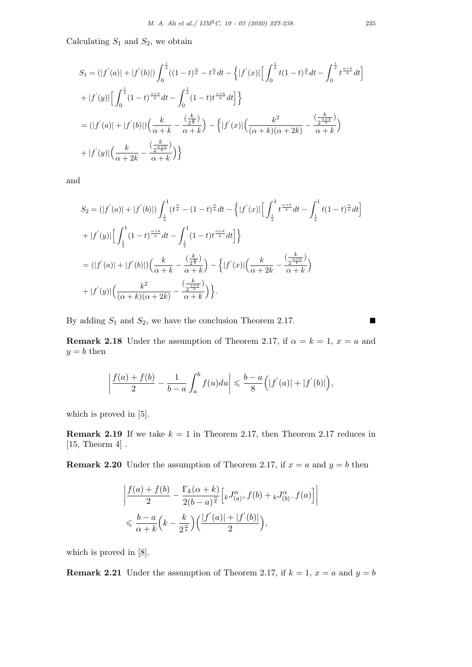Calculating  $S_1$  and  $S_2$ , we obtain

$$
S_1 = (|f'(a)| + |f'(b)|) \int_0^{\frac{1}{2}} ((1-t)^{\frac{\alpha}{k}} - t^{\frac{\alpha}{k}} dt - \left\{ |f'(x)| \Big[ \int_0^{\frac{1}{2}} t(1-t)^{\frac{\alpha}{k}} dt - \int_0^{\frac{1}{2}} t^{\frac{\alpha+k}{k}} dt \Big] \right\}
$$
  
+ 
$$
|f'(y)| \Big[ \int_0^{\frac{1}{2}} (1-t)^{\frac{\alpha+k}{k}} dt - \int_0^{\frac{1}{2}} (1-t) t^{\frac{\alpha+k}{k}} dt \Big] \Big\}
$$
  
= 
$$
(|f'(a)| + |f'(b)|) \Big( \frac{k}{\alpha+k} - \frac{\left(\frac{k}{2^{\frac{\alpha}{k}}}\right)}{\alpha+k} \Big) - \left\{ |f'(x)| \Big( \frac{k^2}{(\alpha+k)(\alpha+2k)} - \frac{\left(\frac{k}{2^{\frac{\alpha+k}{k}}}\right)}{\alpha+k} \Big) \right\}
$$
  
+ 
$$
|f'(y)| \Big( \frac{k}{\alpha+2k} - \frac{\left(\frac{k}{2^{\frac{\alpha+k}{k}}}\right)}{\alpha+k} \Big) \Big\}
$$

and

$$
S_2 = (|f'(a)| + |f'(b)|) \int_{\frac{1}{2}}^{1} (t^{\frac{\alpha}{k}} - (1-t)^{\frac{\alpha}{k}} dt - \left\{ |f'(x)| \Big[ \int_{\frac{1}{2}}^{1} t^{\frac{\alpha+k}{k}} dt - \int_{\frac{1}{2}}^{1} t (1-t)^{\frac{\alpha}{k}} dt \Big] \right\}
$$
  
+ 
$$
|f'(y)| \Big[ \int_{\frac{1}{2}}^{1} (1-t)^{\frac{\alpha+k}{k}} dt - \int_{\frac{1}{2}}^{1} (1-t) t^{\frac{\alpha+k}{k}} dt \Big] \Big\}
$$
  
= 
$$
(|f'(a)| + |f'(b)|) \Big( \frac{k}{\alpha+k} - \frac{\left(\frac{k}{2^{\frac{\alpha}{k}}}\right)}{\alpha+k} - \left\{ |f'(x)| \Big( \frac{k}{\alpha+2k} - \frac{\left(\frac{k}{2^{\frac{\alpha+k}{k}}}\right)}{\alpha+k} \Big) \right\}
$$
  
+ 
$$
|f'(y)| \Big( \frac{k^2}{(\alpha+k)(\alpha+2k)} - \frac{\left(\frac{k}{2^{\frac{\alpha+k}{k}}}\right)}{\alpha+k} \Big) \Big\}.
$$

By adding  $S_1$  and  $S_2$ , we have the conclusion Theorem 2.17. ■

**Remark 2.18** Under the assumption of Theorem 2.17, if  $\alpha = k = 1$ ,  $x = a$  and  $y = b$  then

$$
\left|\frac{f(a)+f(b)}{2}-\frac{1}{b-a}\int_a^b f(u)du\right|\leqslant \frac{b-a}{8}\Big(|f^{'}(a)|+|f^{'}(b)|\Big),
$$

which is proved in  $[5]$ .

**Remark 2.19** If we take  $k = 1$  in Theorem 2.17, then Theorem 2.17 reduces in  $[15,$  Theorm  $4]$ .

**Remark 2.20** Under the assumption of Theorem 2.17, if  $x = a$  and  $y = b$  then

$$
\begin{split} &\left| \frac{f(a)+f(b)}{2} - \frac{\Gamma_k(\alpha+k)}{2(b-a)^{\frac{\alpha}{k}}}\Big[ {}_{k}J^{\alpha}_{(a)+}f(b)+{}_kJ^{\alpha}_{(b)-}f(a)\Big] \right| \\ &\leqslant \frac{b-a}{\alpha+k}\Big(k-\frac{k}{2^{\frac{\alpha}{k}}}\Big)\Big(\frac{|f'(a)|+|f'(b)|}{2}\Big), \end{split}
$$

which is proved in [8].

**Remark 2.21** Under the assumption of Theorem 2.17, if  $k = 1$ ,  $x = a$  and  $y = b$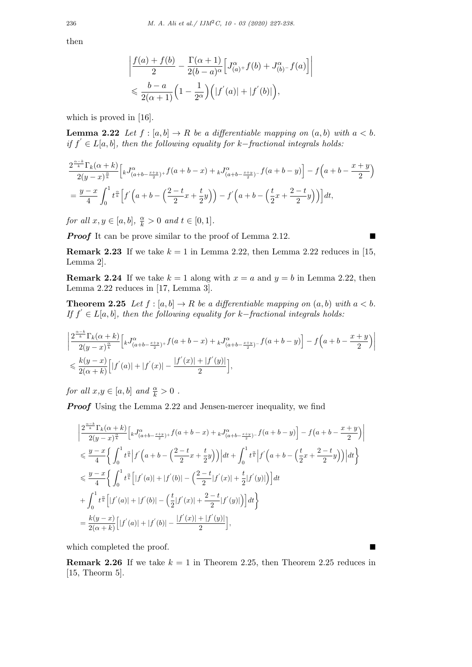then

$$
\left| \frac{f(a) + f(b)}{2} - \frac{\Gamma(\alpha + 1)}{2(b - a)^{\alpha}} \left[ J_{(a)+}^{\alpha} f(b) + J_{(b)-}^{\alpha} f(a) \right] \right|
$$
  
\$\leqslant \frac{b - a}{2(\alpha + 1)} \left( 1 - \frac{1}{2^{\alpha}} \right) \left( |f'(a)| + |f'(b)| \right),

which is proved in [16].

**Lemma 2.22** *Let*  $f : [a, b] \to R$  *be a differentiable mapping on*  $(a, b)$  *with*  $a < b$ *. if f ′ ∈ L*[*a, b*]*, then the following equality for k−fractional integrals holds:*

$$
\frac{2^{\frac{\alpha-k}{k}}\Gamma_k(\alpha+k)}{2(y-x)^{\frac{\alpha}{k}}}\Big[ {}_{k}J^{\alpha}_{(a+b-\frac{x+y}{2})^+}f(a+b-x)+{}_{k}J^{\alpha}_{(a+b-\frac{x+y}{2})^-}f(a+b-y)\Big] - f\Big(a+b-\frac{x+y}{2}\Big)
$$
  
=  $\frac{y-x}{4}\int_0^1 t^{\frac{\alpha}{k}}\Big[f'\Big(a+b-\Big(\frac{2-t}{2}x+\frac{t}{2}y\Big)\Big)-f'\Big(a+b-\Big(\frac{t}{2}x+\frac{2-t}{2}y\Big)\Big)\Big]dt,$ 

*for all*  $x, y \in [a, b], \frac{\alpha}{k} > 0$  *and*  $t \in [0, 1].$ 

*Proof* It can be prove similar to the proof of Lemma 2.12. ■

**Remark 2.23** If we take  $k = 1$  in Lemma 2.22, then Lemma 2.22 reduces in [15, Lemma 2].

**Remark 2.24** If we take  $k = 1$  along with  $x = a$  and  $y = b$  in Lemma 2.22, then Lemma 2.22 reduces in [17, Lemma 3].

**Theorem 2.25** *Let*  $f : [a, b] \to R$  *be a differentiable mapping on*  $(a, b)$  *with*  $a < b$ *. If f ′ ∈ L*[*a, b*]*, then the following equality for k−fractional integrals holds:*

$$
\begin{split} & \left| \frac{2^{\frac{\alpha-k}{k}} \Gamma_k(\alpha+k)}{2(y-x)^{\frac{\alpha}{k}}} \Big[ {}_{k} J^{\alpha}_{(a+b-\frac{x+y}{2})^+} f(a+b-x) + {}_{k} J^{\alpha}_{(a+b-\frac{x+y}{2})^-} f(a+b-y) \Big] - f\Big(a+b-\frac{x+y}{2}\Big) \right| \\ & \leqslant \frac{k(y-x)}{2(\alpha+k)} \Big[ |f^{'}(a)| + |f^{'}(x)|-\frac{|f^{'}(x)|+|f^{'}(y)|}{2}\Big], \end{split}
$$

*for all*  $x, y \in [a, b]$  *and*  $\frac{\alpha}{k} > 0$ .

*Proof* Using the Lemma 2.22 and Jensen-mercer inequality, we find

$$
\begin{split} &\left|\frac{2^{\frac{\alpha-k}{k}}\Gamma_k(\alpha+k)}{2(y-x)^{\frac{\alpha}{k}}}\Big[kJ^{\alpha}_{(a+b-\frac{x+y}{2})^+}f(a+b-x)+kJ^{\alpha}_{(a+b-\frac{x+y}{2})^-}f(a+b-y)\Big] - f\big(a+b-\frac{x+y}{2}\big)\right| \\ &\leqslant \frac{y-x}{4}\bigg\{\int_0^1t^{\frac{\alpha}{k}}\Big|f^{'}\Big(a+b-\Big(\frac{2-t}{2}x+\frac{t}{2}y\Big)\Big)\Big|dt+\int_0^1t^{\frac{\alpha}{k}}\Big|f^{'}\Big(a+b-\Big(\frac{t}{2}x+\frac{2-t}{2}y\Big)\Big)\Big|dt\bigg\} \\ &\leqslant \frac{y-x}{4}\bigg\{\int_0^1t^{\frac{\alpha}{k}}\Big[|f^{'}(a)|+|f^{'}(b)|-\Big(\frac{2-t}{2}|f^{'}(x)|+\frac{t}{2}|f^{'}(y)|\Big)\Big]dt \\ &+\int_0^1t^{\frac{\alpha}{k}}\Big[|f^{'}(a)|+|f^{'}(b)|-\Big(\frac{t}{2}|f^{'}(x)|+\frac{2-t}{2}|f^{'}(y)|\Big)\Big]dt\bigg\} \\ &=\frac{k(y-x)}{2(\alpha+k)}\Big[|f^{'}(a)|+|f^{'}(b)|-\frac{|f^{'}(x)|+|f^{'}(y)|}{2}\Big], \end{split}
$$

which completed the proof.

**Remark 2.26** If we take  $k = 1$  in Theorem 2.25, then Theorem 2.25 reduces in [15, Theorm 5].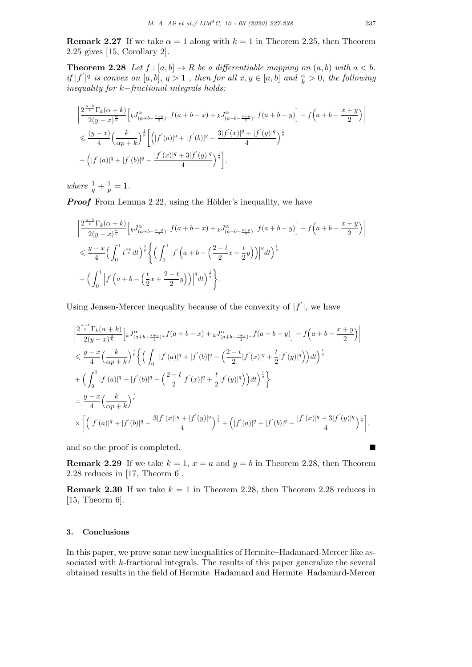**Remark 2.27** If we take  $\alpha = 1$  along with  $k = 1$  in Theorem 2.25, then Theorem 2.25 gives [15, Corollary 2].

**Theorem 2.28** *Let*  $f : [a, b] \to R$  *be a differentiable mapping on*  $(a, b)$  *with*  $a < b$ *.* if  $|f'|^q$  is convex on [a, b],  $q > 1$ , then for all  $x, y \in [a, b]$  and  $\frac{\alpha}{k} > 0$ , the following *inequality for k−fractional integrals holds:*

$$
\begin{split} &\bigg|\frac{2^{\frac{\alpha-k}{k}}\Gamma_k(\alpha+k)}{2(y-x)^{\frac{\alpha}{k}}}\Big[ {}_{k}J^{\alpha}_{(a+b-\frac{x+y}{2})^+}f(a+b-x)+ {}_{k}J^{\alpha}_{(a+b-\frac{x+y}{2})^-}f(a+b-y)\Big]-f\Big(a+b-\frac{x+y}{2}\Big)\bigg|\\ &\leqslant \frac{(y-x)}{4}\Big(\frac{k}{\alpha p+k}\Big)^{\frac{1}{p}}\bigg[\Big(|f^{'}(a)|^{q}+|f^{'}(b)|^{q}-\frac{3|f^{'}(x)|^{q}+|f^{'}(y)|^{q}}{4}\Big)^{\frac{1}{q}}\\ &+\Big(|f^{'}(a)|^{q}+|f^{'}(b)|^{q}-\frac{|f^{'}(x)|^{q}+3|f^{'}(y)|^{q}}{4}\Big)^{\frac{1}{q}}\bigg], \end{split}
$$

*where*  $\frac{1}{q} + \frac{1}{p}$  $\frac{1}{p} = 1.$ 

*Proof* From Lemma 2.22, using the Hölder's inequality, we have

$$
\begin{split} &\bigg|\frac{2^{\frac{\alpha-k}{k}}\Gamma_k(\alpha+k)}{2(y-x)^{\frac{\alpha}{k}}}\Big[kJ^{\alpha}_{(a+b-\frac{x+y}{2})^+}f(a+b-x)+kJ^{\alpha}_{(a+b-\frac{x+y}{2})^-}f(a+b-y)\Big] -f\Big(a+b-\frac{x+y}{2}\Big)\bigg|\\ &\leqslant \frac{y-x}{4}\Big(\int_0^1t^{\frac{\alpha p}{k}}dt\Big)^{\frac{1}{p}}\Bigg\{\Big(\int_0^1\Big|f'\Big(a+b-\Big(\frac{2-t}{2}x+\frac{t}{2}y\Big)\Big)\Big|^qdt\Big)^{\frac{1}{q}}\\ &+\Big(\int_0^1\Big|f'\Big(a+b-\Big(\frac{t}{2}x+\frac{2-t}{2}y\Big)\Big)\Big|^qdt\Big)^{\frac{1}{q}}\Bigg\}. \end{split}
$$

Using Jensen-Mercer inequality because of the convexity of  $|f'|$ , we have

$$
\begin{split} &\left|\frac{2^{\frac{\alpha-k}{k}}\Gamma_k(\alpha+k)}{2(y-x)^{\frac{\alpha}{k}}}\Big[ {}_{k}J^{\alpha}_{(a+b-\frac{x+y}{2})^+}f(a+b-x)+ {}_{k}J^{\alpha}_{(a+b-\frac{x+y}{2})^-}f(a+b-y)\Big]-f\Big(a+b-\frac{x+y}{2}\Big)\right|\\ &\leqslant \frac{y-x}{4}\Big(\frac{k}{\alpha p+k}\Big)^{\frac{1}{p}}\bigg\{\Big(\int_0^1|f^{'}(a)|^q+|f^{'}(b)|^q-\Big(\frac{2-t}{2}|f^{'}(x)|^q+\frac{t}{2}|f^{'}(y)|^q\Big)\Big)dt\Big)^{\frac{1}{q}}\\ &+\Big(\int_0^1|f^{'}(a)|^q+|f^{'}(b)|^q-\Big(\frac{2-t}{2}|f^{'}(x)|^q+\frac{t}{2}|f^{'}(y)|^q\Big)\Big)dt\Big)^{\frac{1}{q}}\bigg\}\\ &=\frac{y-x}{4}\Big(\frac{k}{\alpha p+k}\Big)^{\frac{1}{p}}\\ &\times\bigg[\Big(|f^{'}(a)|^q+|f^{'}(b)|^q-\frac{3|f^{'}(x)|^q+|f^{'}(y)|^q}{4}\Big)^{\frac{1}{q}}+\Big(|f^{'}(a)|^q+|f^{'}(b)|^q-\frac{|f^{'}(x)|^q+3|f^{'}(y)|^q}{4}\Big)^{\frac{1}{q}}\bigg], \end{split}
$$

and so the proof is completed.

**Remark 2.29** If we take  $k = 1$ ,  $x = a$  and  $y = b$  in Theorem 2.28, then Theorem 2.28 reduces in [17, Theorm 6].

**Remark 2.30** If we take  $k = 1$  in Theorem 2.28, then Theorem 2.28 reduces in [15, Theorm 6].

# **3. Conclusions**

In this paper, we prove some new inequalities of Hermite–Hadamard-Mercer like associated with *k*-fractional integrals. The results of this paper generalize the several obtained results in the field of Hermite–Hadamard and Hermite–Hadamard-Mercer